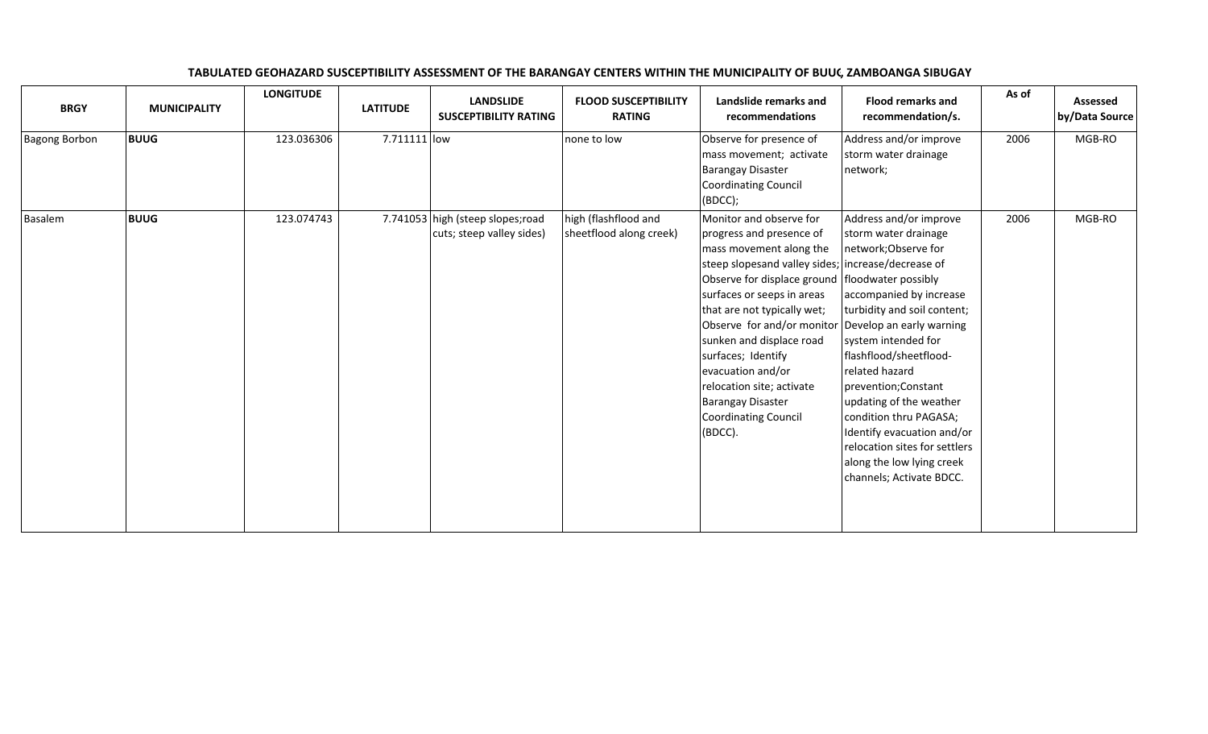| <b>BRGY</b>          | <b>MUNICIPALITY</b> | <b>LONGITUDE</b> | <b>LATITUDE</b> | <b>LANDSLIDE</b><br><b>SUSCEPTIBILITY RATING</b>               | <b>FLOOD SUSCEPTIBILITY</b><br><b>RATING</b>    | Landslide remarks and<br>recommendations                                                                                                                                                                                                                                                                                                                                                                                                                                       | <b>Flood remarks and</b><br>recommendation/s.                                                                                                                                                                                                                                                                                                                                                            | As of | Assessed<br>by/Data Source |
|----------------------|---------------------|------------------|-----------------|----------------------------------------------------------------|-------------------------------------------------|--------------------------------------------------------------------------------------------------------------------------------------------------------------------------------------------------------------------------------------------------------------------------------------------------------------------------------------------------------------------------------------------------------------------------------------------------------------------------------|----------------------------------------------------------------------------------------------------------------------------------------------------------------------------------------------------------------------------------------------------------------------------------------------------------------------------------------------------------------------------------------------------------|-------|----------------------------|
| <b>Bagong Borbon</b> | <b>BUUG</b>         | 123.036306       | 7.711111 low    |                                                                | none to low                                     | Observe for presence of<br>mass movement; activate<br><b>Barangay Disaster</b><br>Coordinating Council<br>(BOCC);                                                                                                                                                                                                                                                                                                                                                              | Address and/or improve<br>storm water drainage<br>network;                                                                                                                                                                                                                                                                                                                                               | 2006  | MGB-RO                     |
| Basalem              | <b>BUUG</b>         | 123.074743       |                 | 7.741053 high (steep slopes; road<br>cuts; steep valley sides) | high (flashflood and<br>sheetflood along creek) | Monitor and observe for<br>progress and presence of<br>mass movement along the<br>steep slopesand valley sides; increase/decrease of<br>Observe for displace ground floodwater possibly<br>surfaces or seeps in areas<br>that are not typically wet;<br>Observe for and/or monitor Develop an early warning<br>sunken and displace road<br>surfaces; Identify<br>evacuation and/or<br>relocation site; activate<br><b>Barangay Disaster</b><br>Coordinating Council<br>(BDCC). | Address and/or improve<br>storm water drainage<br>network; Observe for<br>accompanied by increase<br>turbidity and soil content;<br>system intended for<br>flashflood/sheetflood-<br>related hazard<br>prevention; Constant<br>updating of the weather<br>condition thru PAGASA;<br>Identify evacuation and/or<br>relocation sites for settlers<br>along the low lying creek<br>channels; Activate BDCC. | 2006  | MGB-RO                     |

## TABULATED GEOHAZARD SUSCEPTIBILITY ASSESSMENT OF THE BARANGAY CENTERS WITHIN THE MUNICIPALITY OF BUUG, ZAMBOANGA SIBUGAY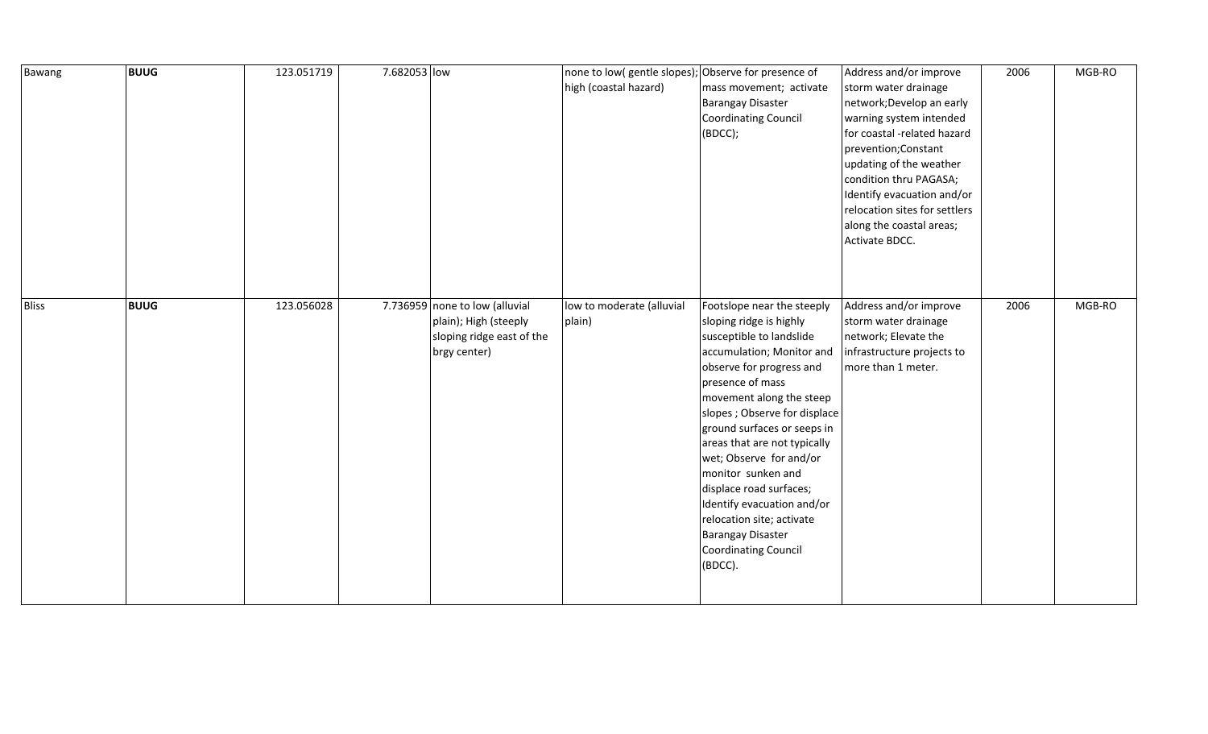| Bawang       | <b>BUUG</b> | 123.051719 | 7.682053 low |                                                                                                      | none to low( gentle slopes); Observe for presence of<br>high (coastal hazard) | mass movement; activate<br><b>Barangay Disaster</b><br><b>Coordinating Council</b><br>(BDCC);                                                                                                                                                                                                                                                                                                                                                                                                           | Address and/or improve<br>storm water drainage<br>network; Develop an early<br>warning system intended<br>for coastal -related hazard<br>prevention; Constant<br>updating of the weather<br>condition thru PAGASA;<br>Identify evacuation and/or<br>relocation sites for settlers<br>along the coastal areas;<br>Activate BDCC. | 2006 | MGB-RO |
|--------------|-------------|------------|--------------|------------------------------------------------------------------------------------------------------|-------------------------------------------------------------------------------|---------------------------------------------------------------------------------------------------------------------------------------------------------------------------------------------------------------------------------------------------------------------------------------------------------------------------------------------------------------------------------------------------------------------------------------------------------------------------------------------------------|---------------------------------------------------------------------------------------------------------------------------------------------------------------------------------------------------------------------------------------------------------------------------------------------------------------------------------|------|--------|
| <b>Bliss</b> | <b>BUUG</b> | 123.056028 |              | 7.736959 none to low (alluvial<br>plain); High (steeply<br>sloping ridge east of the<br>brgy center) | low to moderate (alluvial<br>plain)                                           | Footslope near the steeply<br>sloping ridge is highly<br>susceptible to landslide<br>accumulation; Monitor and<br>observe for progress and<br>presence of mass<br>movement along the steep<br>slopes ; Observe for displace<br>ground surfaces or seeps in<br>areas that are not typically<br>wet; Observe for and/or<br>monitor sunken and<br>displace road surfaces;<br>Identify evacuation and/or<br>relocation site; activate<br><b>Barangay Disaster</b><br><b>Coordinating Council</b><br>(BDCC). | Address and/or improve<br>storm water drainage<br>network; Elevate the<br>infrastructure projects to<br>more than 1 meter.                                                                                                                                                                                                      | 2006 | MGB-RO |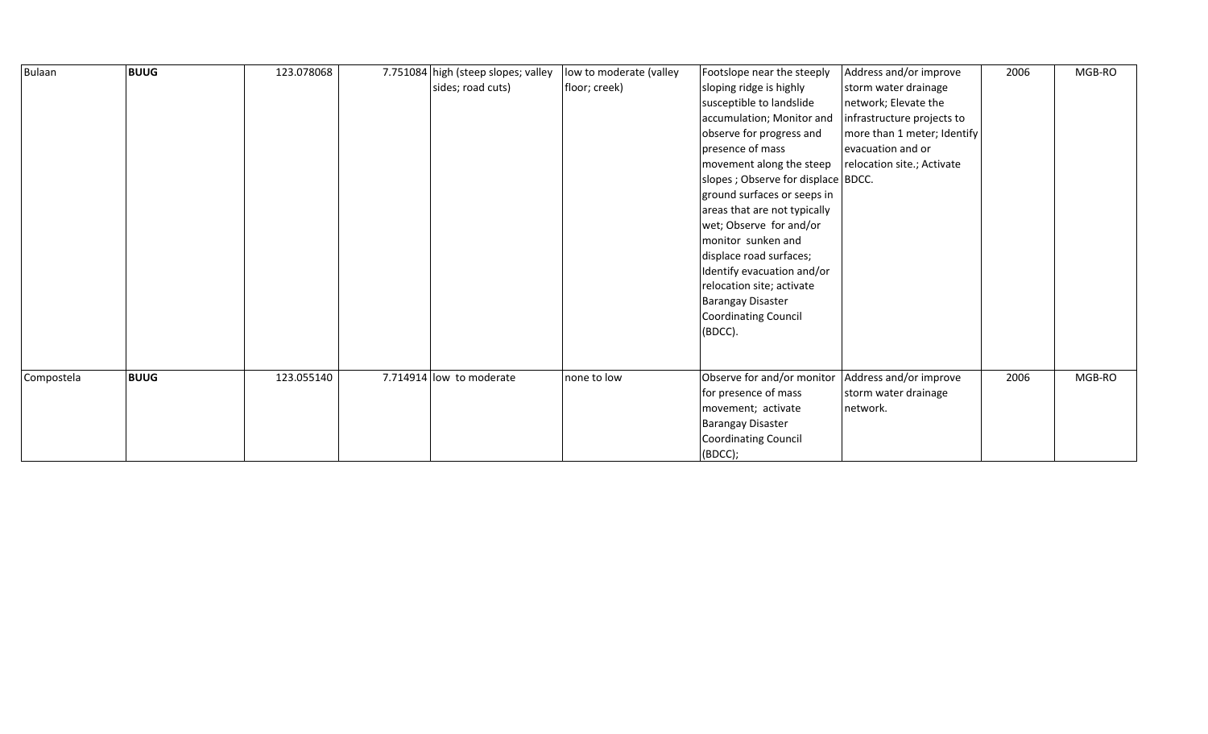| Bulaan     | <b>BUUG</b> | 123.078068 | 7.751084 high (steep slopes; valley<br>sides; road cuts) | low to moderate (valley<br>floor; creek) | Footslope near the steeply<br>sloping ridge is highly<br>susceptible to landslide<br>accumulation; Monitor and<br>observe for progress and<br>presence of mass<br>$\vert$ movement along the steep $\vert$ relocation site.; Activate<br>slopes ; Observe for displace BDCC.<br>ground surfaces or seeps in<br>areas that are not typically<br>wet; Observe for and/or<br>monitor sunken and<br>displace road surfaces;<br>Identify evacuation and/or<br>relocation site; activate<br><b>Barangay Disaster</b><br>Coordinating Council<br>(BDCC). | Address and/or improve<br>storm water drainage<br>network; Elevate the<br>infrastructure projects to<br>more than 1 meter; Identify<br>evacuation and or | 2006 | MGB-RO |
|------------|-------------|------------|----------------------------------------------------------|------------------------------------------|---------------------------------------------------------------------------------------------------------------------------------------------------------------------------------------------------------------------------------------------------------------------------------------------------------------------------------------------------------------------------------------------------------------------------------------------------------------------------------------------------------------------------------------------------|----------------------------------------------------------------------------------------------------------------------------------------------------------|------|--------|
| Compostela | <b>BUUG</b> | 123.055140 | 7.714914 low to moderate                                 | none to low                              | Observe for and/or monitor<br>for presence of mass<br>movement; activate<br><b>Barangay Disaster</b><br>Coordinating Council<br>(BOCC);                                                                                                                                                                                                                                                                                                                                                                                                           | Address and/or improve<br>storm water drainage<br>network.                                                                                               | 2006 | MGB-RO |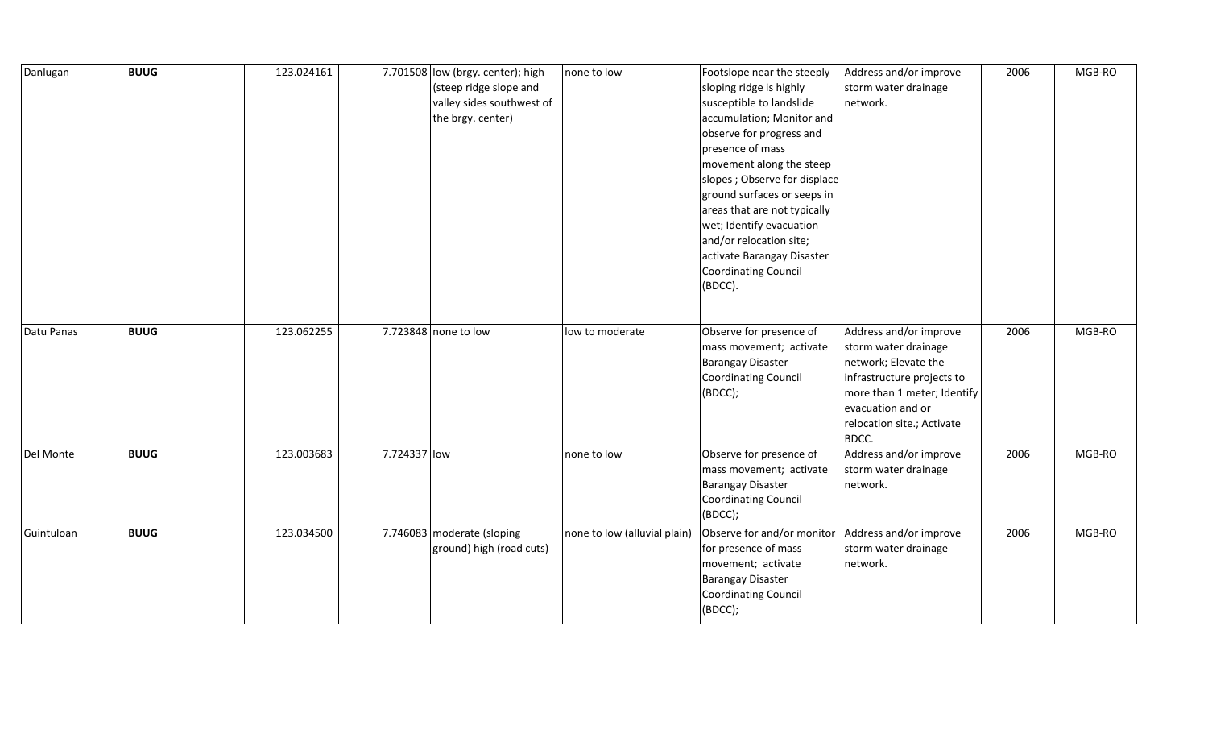| Danlugan   | <b>BUUG</b> | 123.024161 |              | 7.701508 low (brgy. center); high<br>(steep ridge slope and<br>valley sides southwest of<br>the brgy. center) | none to low                  | Footslope near the steeply<br>sloping ridge is highly<br>susceptible to landslide<br>accumulation; Monitor and<br>observe for progress and<br>presence of mass<br>movement along the steep<br>slopes ; Observe for displace<br>ground surfaces or seeps in<br>areas that are not typically<br>wet; Identify evacuation<br>and/or relocation site;<br>activate Barangay Disaster<br>Coordinating Council<br>(BDCC). | Address and/or improve<br>storm water drainage<br>network.                                                                                                                                      | 2006 | MGB-RO |
|------------|-------------|------------|--------------|---------------------------------------------------------------------------------------------------------------|------------------------------|--------------------------------------------------------------------------------------------------------------------------------------------------------------------------------------------------------------------------------------------------------------------------------------------------------------------------------------------------------------------------------------------------------------------|-------------------------------------------------------------------------------------------------------------------------------------------------------------------------------------------------|------|--------|
| Datu Panas | <b>BUUG</b> | 123.062255 |              | 7.723848 none to low                                                                                          | low to moderate              | Observe for presence of<br>mass movement; activate<br>Barangay Disaster<br>Coordinating Council<br>(BDCC);                                                                                                                                                                                                                                                                                                         | Address and/or improve<br>storm water drainage<br>network; Elevate the<br>infrastructure projects to<br>more than 1 meter; Identify<br>evacuation and or<br>relocation site.; Activate<br>BDCC. | 2006 | MGB-RO |
| Del Monte  | <b>BUUG</b> | 123.003683 | 7.724337 low |                                                                                                               | none to low                  | Observe for presence of<br>mass movement; activate<br><b>Barangay Disaster</b><br>Coordinating Council<br>(BDCC);                                                                                                                                                                                                                                                                                                  | Address and/or improve<br>storm water drainage<br>network.                                                                                                                                      | 2006 | MGB-RO |
| Guintuloan | <b>BUUG</b> | 123.034500 |              | 7.746083 moderate (sloping<br>ground) high (road cuts)                                                        | none to low (alluvial plain) | Observe for and/or monitor<br>for presence of mass<br>movement; activate<br><b>Barangay Disaster</b><br>Coordinating Council<br>(BDCC);                                                                                                                                                                                                                                                                            | Address and/or improve<br>storm water drainage<br>network.                                                                                                                                      | 2006 | MGB-RO |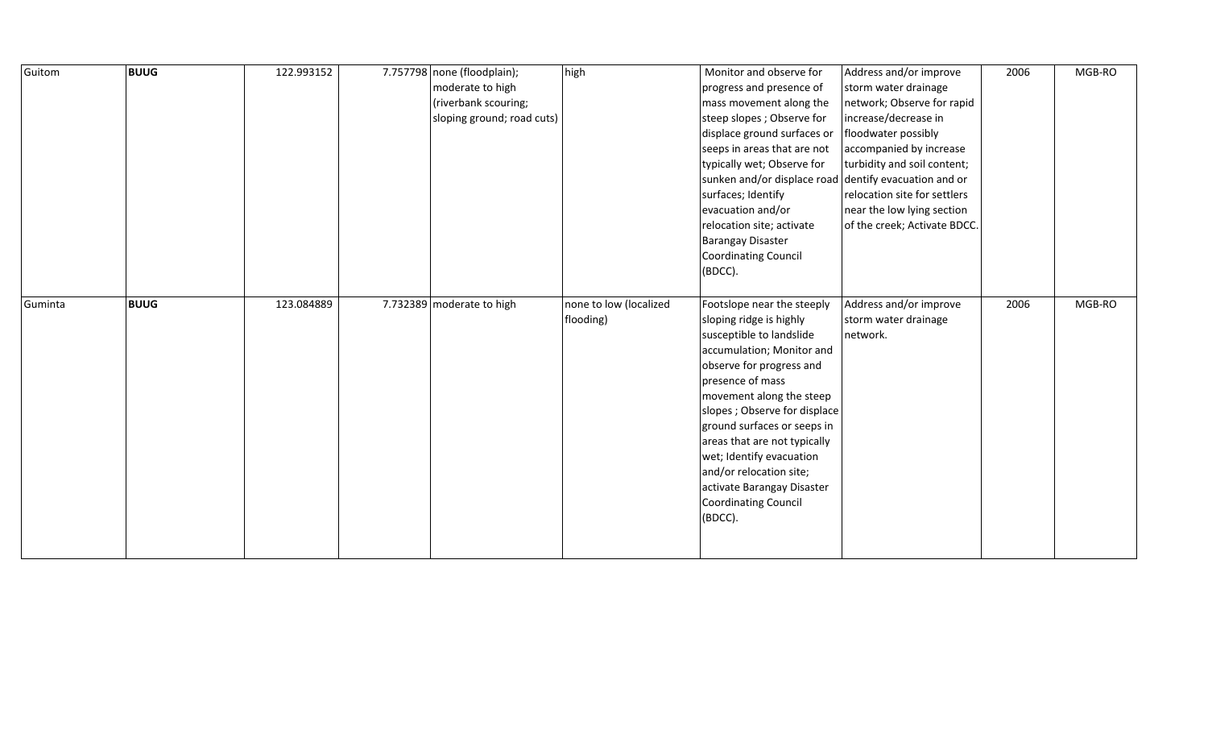| Guitom  | <b>BUUG</b> | 122.993152 | 7.757798 none (floodplain);<br>moderate to high<br>(riverbank scouring;<br>sloping ground; road cuts) | high                                | Monitor and observe for<br>progress and presence of<br>mass movement along the<br>steep slopes ; Observe for<br>displace ground surfaces or<br>seeps in areas that are not<br>typically wet; Observe for<br>sunken and/or displace road<br>surfaces; Identify<br>evacuation and/or<br>relocation site; activate<br><b>Barangay Disaster</b><br>Coordinating Council<br>(BDCC).                                            | Address and/or improve<br>storm water drainage<br>network; Observe for rapid<br>increase/decrease in<br>floodwater possibly<br>accompanied by increase<br>turbidity and soil content;<br>dentify evacuation and or<br>relocation site for settlers<br>near the low lying section<br>of the creek; Activate BDCC. | 2006 | MGB-RO |
|---------|-------------|------------|-------------------------------------------------------------------------------------------------------|-------------------------------------|---------------------------------------------------------------------------------------------------------------------------------------------------------------------------------------------------------------------------------------------------------------------------------------------------------------------------------------------------------------------------------------------------------------------------|------------------------------------------------------------------------------------------------------------------------------------------------------------------------------------------------------------------------------------------------------------------------------------------------------------------|------|--------|
| Guminta | <b>BUUG</b> | 123.084889 | 7.732389 moderate to high                                                                             | none to low (localized<br>flooding) | Footslope near the steeply<br>sloping ridge is highly<br>susceptible to landslide<br>accumulation; Monitor and<br>observe for progress and<br>presence of mass<br>movement along the steep<br>slopes ; Observe for displace<br>ground surfaces or seeps in<br>areas that are not typically<br>wet; Identify evacuation<br>and/or relocation site;<br>activate Barangay Disaster<br><b>Coordinating Council</b><br>(BDCC). | Address and/or improve<br>storm water drainage<br>network.                                                                                                                                                                                                                                                       | 2006 | MGB-RO |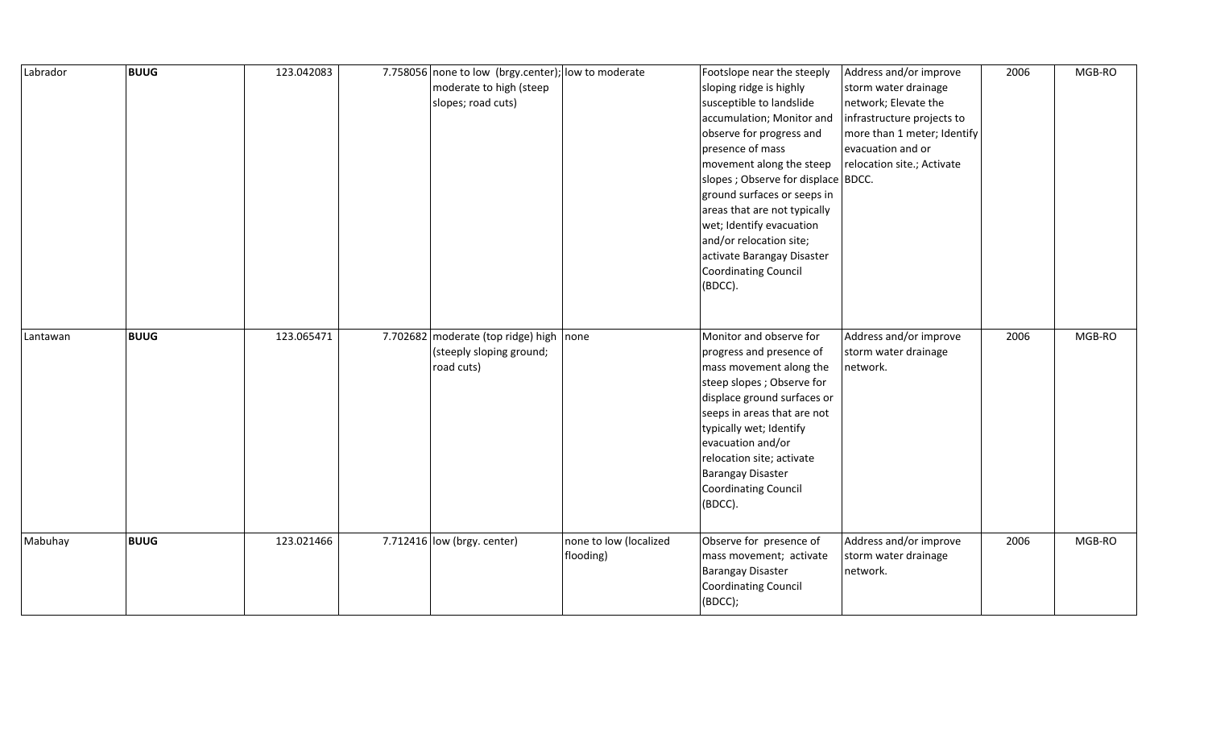| Labrador | <b>BUUG</b> | 123.042083 | 7.758056 none to low (brgy.center); low to moderate<br>moderate to high (steep<br>slopes; road cuts) |                                     | Footslope near the steeply<br>sloping ridge is highly<br>susceptible to landslide<br>accumulation; Monitor and<br>observe for progress and<br>presence of mass<br>movement along the steep<br>slopes; Observe for displace BDCC.<br>ground surfaces or seeps in<br>areas that are not typically<br>wet; Identify evacuation<br>and/or relocation site;<br>activate Barangay Disaster<br>Coordinating Council<br>(BDCC). | Address and/or improve<br>storm water drainage<br>network; Elevate the<br>infrastructure projects to<br>more than 1 meter; Identify<br>evacuation and or<br>relocation site.; Activate | 2006 | MGB-RO |
|----------|-------------|------------|------------------------------------------------------------------------------------------------------|-------------------------------------|-------------------------------------------------------------------------------------------------------------------------------------------------------------------------------------------------------------------------------------------------------------------------------------------------------------------------------------------------------------------------------------------------------------------------|----------------------------------------------------------------------------------------------------------------------------------------------------------------------------------------|------|--------|
| Lantawan | <b>BUUG</b> | 123.065471 | 7.702682 moderate (top ridge) high<br>(steeply sloping ground;<br>road cuts)                         | none                                | Monitor and observe for<br>progress and presence of<br>mass movement along the<br>steep slopes; Observe for<br>displace ground surfaces or<br>seeps in areas that are not<br>typically wet; Identify<br>evacuation and/or<br>relocation site; activate<br><b>Barangay Disaster</b><br><b>Coordinating Council</b><br>(BDCC).                                                                                            | Address and/or improve<br>storm water drainage<br>network.                                                                                                                             | 2006 | MGB-RO |
| Mabuhay  | <b>BUUG</b> | 123.021466 | 7.712416 $ low$ (brgy. center)                                                                       | none to low (localized<br>flooding) | Observe for presence of<br>mass movement; activate<br><b>Barangay Disaster</b><br>Coordinating Council<br>(BDCC);                                                                                                                                                                                                                                                                                                       | Address and/or improve<br>storm water drainage<br>network.                                                                                                                             | 2006 | MGB-RO |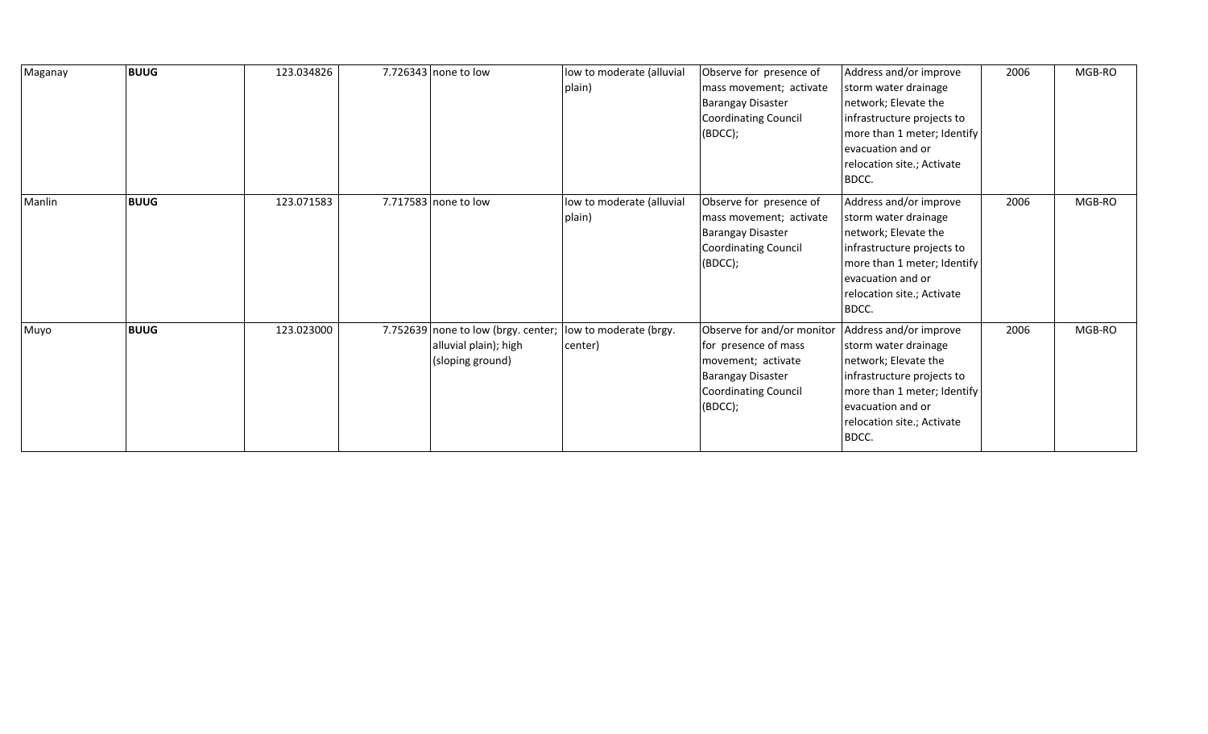| Maganay | <b>BUUG</b> | 123.034826 | 7.726343 none to low                                                             | low to moderate (alluvial<br>plain) | Observe for presence of<br>mass movement; activate<br><b>Barangay Disaster</b><br><b>Coordinating Council</b><br>(BDCC);                | Address and/or improve<br>storm water drainage<br>network; Elevate the<br>infrastructure projects to<br>more than 1 meter; Identify<br>evacuation and or<br>relocation site.; Activate<br>BDCC. | 2006 | MGB-RO |
|---------|-------------|------------|----------------------------------------------------------------------------------|-------------------------------------|-----------------------------------------------------------------------------------------------------------------------------------------|-------------------------------------------------------------------------------------------------------------------------------------------------------------------------------------------------|------|--------|
| Manlin  | <b>BUUG</b> | 123.071583 | 7.717583 none to low                                                             | low to moderate (alluvial<br>plain) | Observe for presence of<br>mass movement; activate<br><b>Barangay Disaster</b><br><b>Coordinating Council</b><br>(BOCC);                | Address and/or improve<br>storm water drainage<br>network; Elevate the<br>infrastructure projects to<br>more than 1 meter; Identify<br>evacuation and or<br>relocation site.; Activate<br>BDCC. | 2006 | MGB-RO |
| Muyo    | <b>BUUG</b> | 123.023000 | 7.752639 none to low (brgy. center;<br>alluvial plain); high<br>(sloping ground) | low to moderate (brgy.<br>center)   | Observe for and/or monitor<br>for presence of mass<br>movement; activate<br><b>Barangay Disaster</b><br>Coordinating Council<br>(BDCC); | Address and/or improve<br>storm water drainage<br>network; Elevate the<br>infrastructure projects to<br>more than 1 meter; Identify<br>evacuation and or<br>relocation site.; Activate<br>BDCC. | 2006 | MGB-RO |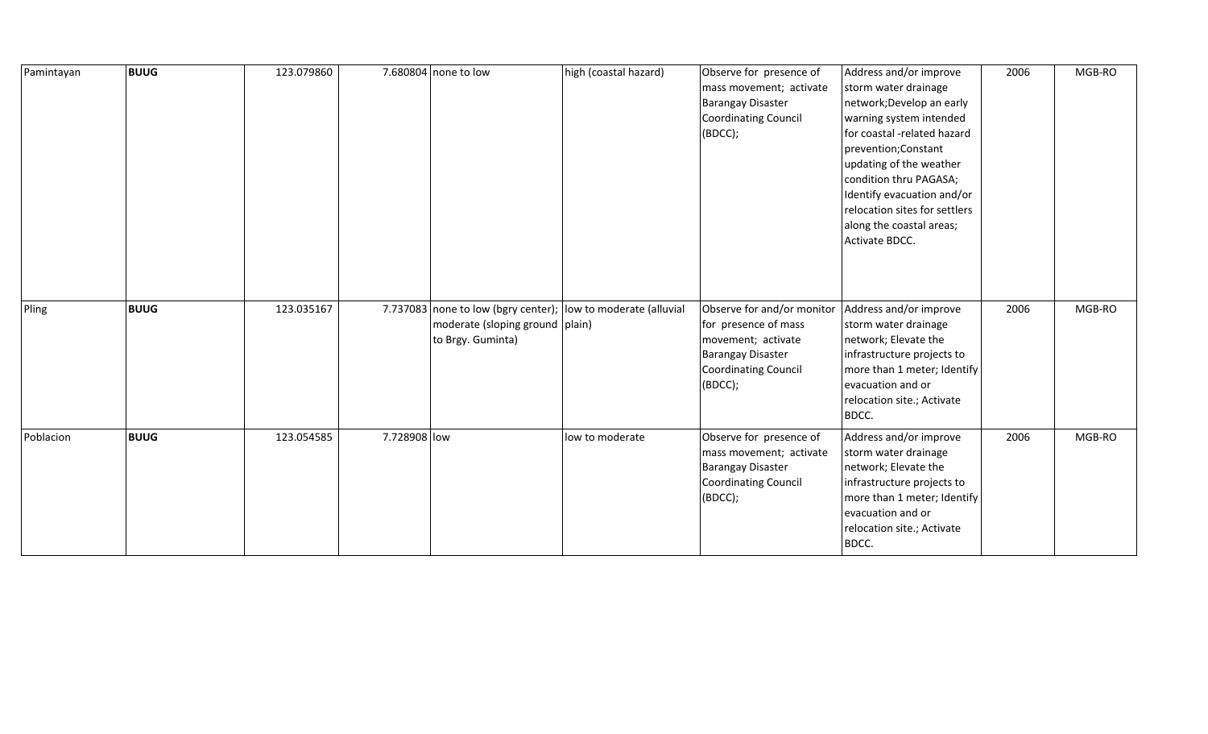| Pamintayan | <b>BUUG</b> | 123.079860 |              | 7.680804 none to low                                   | high (coastal hazard)                                         | Observe for presence of<br>mass movement; activate<br>Barangay Disaster<br>Coordinating Council<br>(BDCC);                                     | Address and/or improve<br>storm water drainage<br>network; Develop an early<br>warning system intended<br>for coastal -related hazard<br>prevention; Constant<br>updating of the weather<br>condition thru PAGASA;<br>Identify evacuation and/or<br>relocation sites for settlers<br>along the coastal areas;<br>Activate BDCC. | 2006 | MGB-RO |
|------------|-------------|------------|--------------|--------------------------------------------------------|---------------------------------------------------------------|------------------------------------------------------------------------------------------------------------------------------------------------|---------------------------------------------------------------------------------------------------------------------------------------------------------------------------------------------------------------------------------------------------------------------------------------------------------------------------------|------|--------|
| Pling      | <b>BUUG</b> | 123.035167 |              | moderate (sloping ground   plain)<br>to Brgy. Guminta) | 7.737083 none to low (bgry center); low to moderate (alluvial | Observe for and/or monitor<br>for presence of mass<br>movement; activate<br><b>Barangay Disaster</b><br><b>Coordinating Council</b><br>(BDCC); | Address and/or improve<br>storm water drainage<br>network; Elevate the<br>infrastructure projects to<br>more than 1 meter; Identify<br>evacuation and or<br>relocation site.; Activate<br>BDCC.                                                                                                                                 | 2006 | MGB-RO |
| Poblacion  | <b>BUUG</b> | 123.054585 | 7.728908 low |                                                        | low to moderate                                               | Observe for presence of<br>mass movement; activate<br>Barangay Disaster<br><b>Coordinating Council</b><br>(BDCC);                              | Address and/or improve<br>storm water drainage<br>network; Elevate the<br>infrastructure projects to<br>more than 1 meter; Identify<br>evacuation and or<br>relocation site.; Activate<br>BDCC.                                                                                                                                 | 2006 | MGB-RO |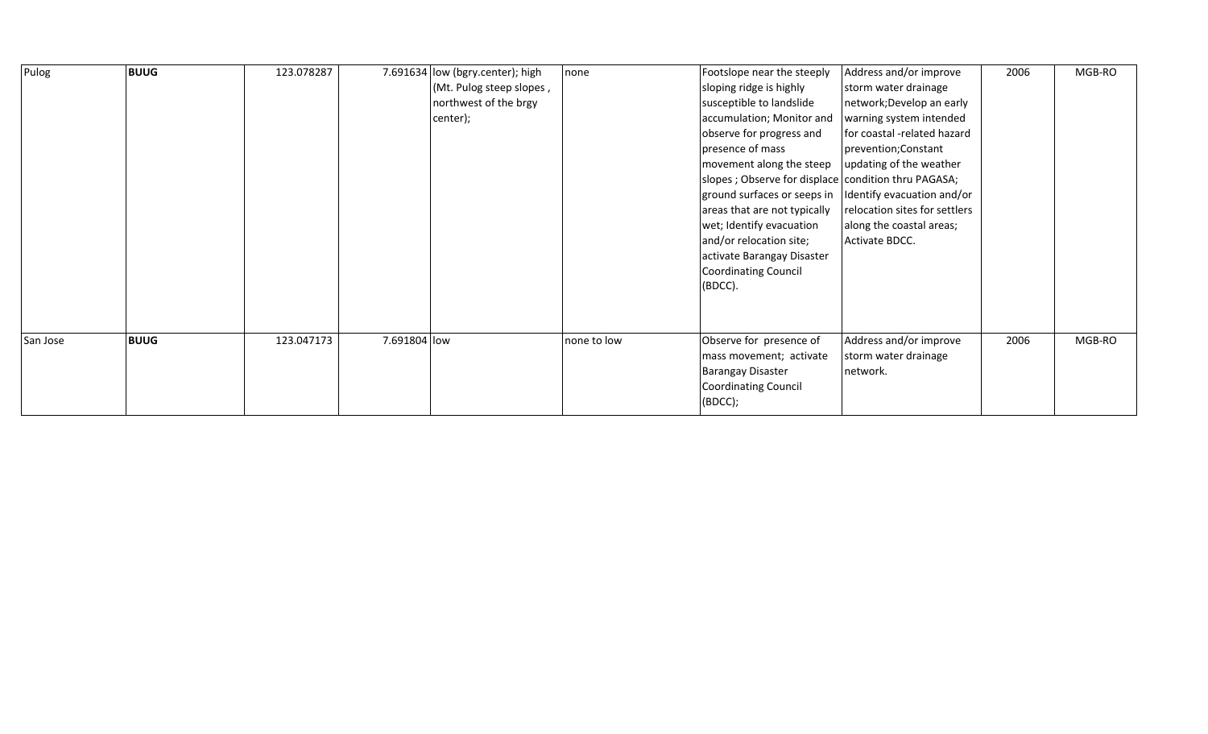| Pulog    | <b>BUUG</b> | 123.078287 |              | 7.691634 low (bgry.center); high | none        | Footslope near the steeply                          | Address and/or improve        | 2006 | MGB-RO |
|----------|-------------|------------|--------------|----------------------------------|-------------|-----------------------------------------------------|-------------------------------|------|--------|
|          |             |            |              | (Mt. Pulog steep slopes,         |             | sloping ridge is highly                             | storm water drainage          |      |        |
|          |             |            |              | northwest of the brgy            |             | susceptible to landslide                            | network; Develop an early     |      |        |
|          |             |            |              | center);                         |             | accumulation; Monitor and                           | warning system intended       |      |        |
|          |             |            |              |                                  |             | observe for progress and                            | for coastal -related hazard   |      |        |
|          |             |            |              |                                  |             | presence of mass                                    | prevention; Constant          |      |        |
|          |             |            |              |                                  |             | movement along the steep                            | updating of the weather       |      |        |
|          |             |            |              |                                  |             | slopes; Observe for displace condition thru PAGASA; |                               |      |        |
|          |             |            |              |                                  |             | ground surfaces or seeps in                         | Identify evacuation and/or    |      |        |
|          |             |            |              |                                  |             | areas that are not typically                        | relocation sites for settlers |      |        |
|          |             |            |              |                                  |             | wet; Identify evacuation                            | along the coastal areas;      |      |        |
|          |             |            |              |                                  |             | and/or relocation site;                             | Activate BDCC.                |      |        |
|          |             |            |              |                                  |             | activate Barangay Disaster                          |                               |      |        |
|          |             |            |              |                                  |             | Coordinating Council                                |                               |      |        |
|          |             |            |              |                                  |             | $(BDCC)$ .                                          |                               |      |        |
|          |             |            |              |                                  |             |                                                     |                               |      |        |
|          |             |            |              |                                  |             |                                                     |                               |      |        |
| San Jose | <b>BUUG</b> | 123.047173 | 7.691804 low |                                  | none to low | Observe for presence of                             | Address and/or improve        | 2006 | MGB-RO |
|          |             |            |              |                                  |             | mass movement; activate                             | storm water drainage          |      |        |
|          |             |            |              |                                  |             | <b>Barangay Disaster</b>                            | network.                      |      |        |
|          |             |            |              |                                  |             | Coordinating Council                                |                               |      |        |
|          |             |            |              |                                  |             | (BOCC);                                             |                               |      |        |
|          |             |            |              |                                  |             |                                                     |                               |      |        |